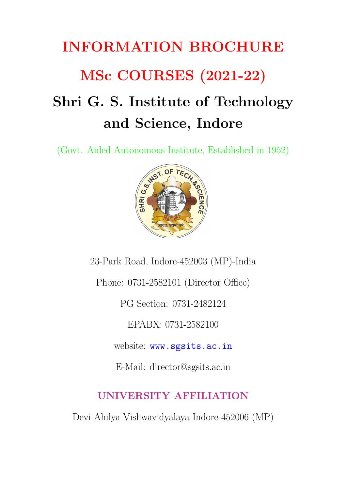# INFORMATION BROCHURE MSc COURSES (2021-22) Shri G. S. Institute of Technology and Science, Indore

(Govt. Aided Autonomous Institute, Established in 1952)



23-Park Road, Indore-452003 (MP)-India

Phone: 0731-2582101 (Director Office)

PG Section: 0731-2482124

EPABX: 0731-2582100

website: <www.sgsits.ac.in>

E-Mail: director@sgsits.ac.in

## UNIVERSITY AFFILIATION

Devi Ahilya Vishwavidyalaya Indore-452006 (MP)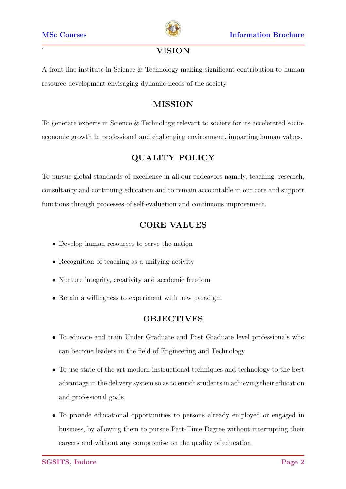

#### . VISION

A front-line institute in Science & Technology making significant contribution to human resource development envisaging dynamic needs of the society.

#### MISSION

To generate experts in Science & Technology relevant to society for its accelerated socioeconomic growth in professional and challenging environment, imparting human values.

#### QUALITY POLICY

To pursue global standards of excellence in all our endeavors namely, teaching, research, consultancy and continuing education and to remain accountable in our core and support functions through processes of self-evaluation and continuous improvement.

#### CORE VALUES

- Develop human resources to serve the nation
- Recognition of teaching as a unifying activity
- Nurture integrity, creativity and academic freedom
- Retain a willingness to experiment with new paradigm

#### OBJECTIVES

- To educate and train Under Graduate and Post Graduate level professionals who can become leaders in the field of Engineering and Technology.
- To use state of the art modern instructional techniques and technology to the best advantage in the delivery system so as to enrich students in achieving their education and professional goals.
- To provide educational opportunities to persons already employed or engaged in business, by allowing them to pursue Part-Time Degree without interrupting their careers and without any compromise on the quality of education.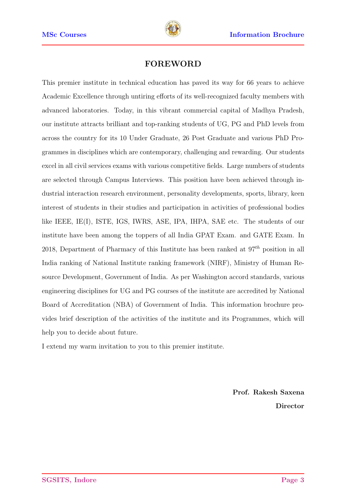

#### FOREWORD

This premier institute in technical education has paved its way for 66 years to achieve Academic Excellence through untiring efforts of its well-recognized faculty members with advanced laboratories. Today, in this vibrant commercial capital of Madhya Pradesh, our institute attracts brilliant and top-ranking students of UG, PG and PhD levels from across the country for its 10 Under Graduate, 26 Post Graduate and various PhD Programmes in disciplines which are contemporary, challenging and rewarding. Our students excel in all civil services exams with various competitive fields. Large numbers of students are selected through Campus Interviews. This position have been achieved through industrial interaction research environment, personality developments, sports, library, keen interest of students in their studies and participation in activities of professional bodies like IEEE, IE(I), ISTE, IGS, IWRS, ASE, IPA, IHPA, SAE etc. The students of our institute have been among the toppers of all India GPAT Exam. and GATE Exam. In 2018, Department of Pharmacy of this Institute has been ranked at  $97<sup>th</sup>$  position in all India ranking of National Institute ranking framework (NIRF), Ministry of Human Resource Development, Government of India. As per Washington accord standards, various engineering disciplines for UG and PG courses of the institute are accredited by National Board of Accreditation (NBA) of Government of India. This information brochure provides brief description of the activities of the institute and its Programmes, which will help you to decide about future.

I extend my warm invitation to you to this premier institute.

Prof. Rakesh Saxena Director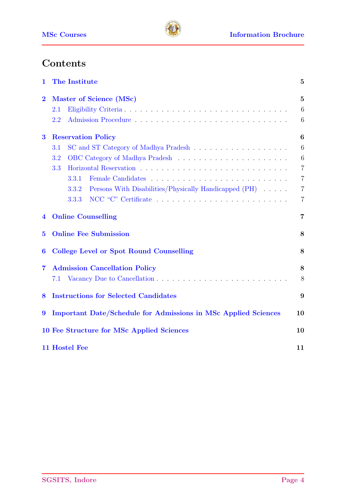

# **Contents**

| The Institute<br>$\mathbf 1$ |                                                                       |                  |
|------------------------------|-----------------------------------------------------------------------|------------------|
| $\overline{2}$               | Master of Science (MSc)                                               | $\overline{5}$   |
|                              | 2.1                                                                   | 6                |
|                              | 2.2                                                                   | 6                |
| $\bf{3}$                     | <b>Reservation Policy</b>                                             | $\boldsymbol{6}$ |
|                              | 3.1                                                                   | 6                |
|                              | 3.2                                                                   | 6                |
|                              | 3.3                                                                   | $\overline{7}$   |
|                              | 3.3.1                                                                 | $\overline{7}$   |
|                              | Persons With Disabilities/Physically Handicapped (PH)<br>3.3.2        | $\overline{7}$   |
|                              | 3.3.3                                                                 | $\overline{7}$   |
| 4                            | <b>Online Counselling</b>                                             | 7                |
| $\overline{5}$               | <b>Online Fee Submission</b>                                          | 8                |
| 6                            | <b>College Level or Spot Round Counselling</b>                        | 8                |
| $\overline{7}$               | <b>Admission Cancellation Policy</b>                                  | 8                |
|                              | 7.1                                                                   | 8                |
| 8                            | <b>Instructions for Selected Candidates</b>                           | 9                |
| $\boldsymbol{9}$             | <b>Important Date/Schedule for Admissions in MSc Applied Sciences</b> | 10               |
|                              | 10 Fee Structure for MSc Applied Sciences                             | 10               |
|                              | 11 Hostel Fee                                                         | 11               |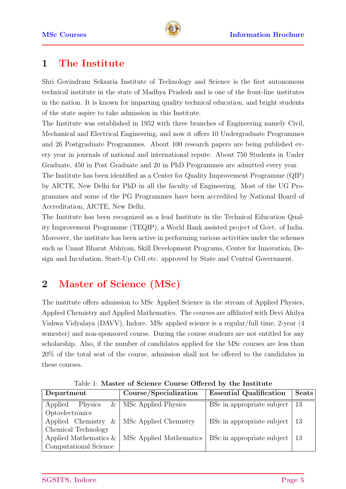

## <span id="page-4-0"></span>1 The Institute

Shri Govindram Seksaria Institute of Technology and Science is the first autonomous technical institute in the state of Madhya Pradesh and is one of the front-line institutes in the nation. It is known for imparting quality technical education, and bright students of the state aspire to take admission in this Institute.

The Institute was established in 1952 with three branches of Engineering namely Civil, Mechanical and Electrical Engineering, and now it offers 10 Undergraduate Programmes and 26 Postgraduate Programmes. About 100 research papers are being published every year in journals of national and international repute. About 750 Students in Under Graduate, 450 in Post Graduate and 20 in PhD Programmes are admitted every year.

The Institute has been identified as a Center for Quality Improvement Programme (QIP) by AICTE, New Delhi for PhD in all the faculty of Engineering. Most of the UG Programmes and some of the PG Programmes have been accredited by National Board of Accreditation, AICTE, New Delhi.

The Institute has been recognized as a lead Institute in the Technical Education Quality Improvement Programme (TEQIP), a World Bank assisted project of Govt. of India. Moreover, the institute has been active in performing various activities under the schemes such as Unnat Bharat Abhiyan, Skill Development Programs, Center for Innovation, Design and Incubation, Start-Up Cell etc. approved by State and Central Government.

# <span id="page-4-1"></span>2 Master of Science (MSc)

The institute offers admission to MSc Applied Science in the stream of Applied Physics, Applied Chemistry and Applied Mathematics. The courses are affiliated with Devi Ahilya Vishwa Vidyalaya (DAVV), Indore. MSc applied science is a regular/full time, 2-year (4 semester) and non-sponsored course. During the course students are not entitled for any scholarship. Also, if the number of candidates applied for the MSc courses are less than 20% of the total seat of the course, admission shall not be offered to the candidates in these courses.

| Department                      | Course/Specialization   | <b>Essential Qualification</b> | <b>Seats</b> |
|---------------------------------|-------------------------|--------------------------------|--------------|
| $\&\perp$<br>Applied<br>Physics | MSc Applied Physics     | BSc in appropriate subject     | -13          |
| Optoelectronics                 |                         |                                |              |
| Applied Chemistry<br>&          | MSc Applied Chemistry   | BSc in appropriate subject     | -13          |
| Chemical Technology             |                         |                                |              |
| Applied Mathematics $&$         | MSc Applied Mathematics | BSc in appropriate subject     | -13          |
| Computational Science           |                         |                                |              |

Table 1: Master of Science Course Offered by the Institute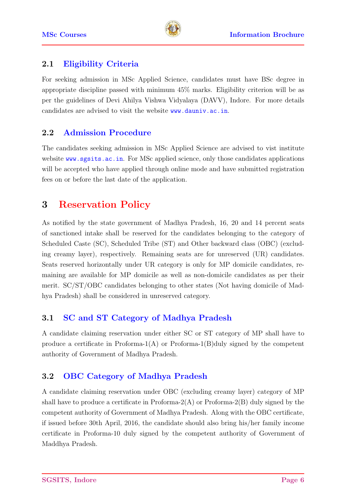

#### <span id="page-5-0"></span>2.1 Eligibility Criteria

For seeking admission in MSc Applied Science, candidates must have BSc degree in appropriate discipline passed with minimum 45% marks. Eligibility criterion will be as per the guidelines of Devi Ahilya Vishwa Vidyalaya (DAVV), Indore. For more details candidates are advised to visit the website <www.dauniv.ac.in>.

#### <span id="page-5-1"></span>2.2 Admission Procedure

The candidates seeking admission in MSc Applied Science are advised to vist institute website <www.sgsits.ac.in>. For MSc applied science, only those candidates applications will be accepted who have applied through online mode and have submitted registration fees on or before the last date of the application.

## <span id="page-5-2"></span>3 Reservation Policy

As notified by the state government of Madhya Pradesh, 16, 20 and 14 percent seats of sanctioned intake shall be reserved for the candidates belonging to the category of Scheduled Caste (SC), Scheduled Tribe (ST) and Other backward class (OBC) (excluding creamy layer), respectively. Remaining seats are for unreserved (UR) candidates. Seats reserved horizontally under UR category is only for MP domicile candidates, remaining are available for MP domicile as well as non-domicile candidates as per their merit. SC/ST/OBC candidates belonging to other states (Not having domicile of Madhya Pradesh) shall be considered in unreserved category.

#### <span id="page-5-3"></span>3.1 SC and ST Category of Madhya Pradesh

A candidate claiming reservation under either SC or ST category of MP shall have to produce a certificate in Proforma- $1(A)$  or Proforma- $1(B)$ duly signed by the competent authority of Government of Madhya Pradesh.

#### <span id="page-5-4"></span>3.2 OBC Category of Madhya Pradesh

A candidate claiming reservation under OBC (excluding creamy layer) category of MP shall have to produce a certificate in Proforma- $2(A)$  or Proforma- $2(B)$  duly signed by the competent authority of Government of Madhya Pradesh. Along with the OBC certificate, if issued before 30th April, 2016, the candidate should also bring his/her family income certificate in Proforma-10 duly signed by the competent authority of Government of Maddhya Pradesh.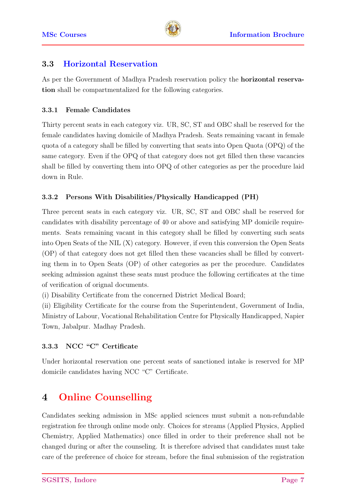

#### <span id="page-6-0"></span>3.3 Horizontal Reservation

<span id="page-6-1"></span>As per the Government of Madhya Pradesh reservation policy the horizontal reservation shall be compartmentalized for the following categories.

#### 3.3.1 Female Candidates

Thirty percent seats in each category viz. UR, SC, ST and OBC shall be reserved for the female candidates having domicile of Madhya Pradesh. Seats remaining vacant in female quota of a category shall be filled by converting that seats into Open Quota (OPQ) of the same category. Even if the OPQ of that category does not get filled then these vacancies shall be filled by converting them into OPQ of other categories as per the procedure laid down in Rule.

#### <span id="page-6-2"></span>3.3.2 Persons With Disabilities/Physically Handicapped (PH)

Three percent seats in each category viz. UR, SC, ST and OBC shall be reserved for candidates with disability percentage of 40 or above and satisfying MP domicile requirements. Seats remaining vacant in this category shall be filled by converting such seats into Open Seats of the NIL (X) category. However, if even this conversion the Open Seats (OP) of that category does not get filled then these vacancies shall be filled by converting them in to Open Seats (OP) of other categories as per the procedure. Candidates seeking admission against these seats must produce the following certificates at the time of verification of orignal documents.

(i) Disability Certificate from the concerned District Medical Board;

(ii) Eligibility Certificate for the course from the Superintendent, Government of India, Ministry of Labour, Vocational Rehabilitation Centre for Physically Handicapped, Napier Town, Jabalpur. Madhay Pradesh.

#### <span id="page-6-3"></span>3.3.3 NCC "C" Certificate

<span id="page-6-4"></span>Under horizontal reservation one percent seats of sanctioned intake is reserved for MP domicile candidates having NCC "C" Certificate.

# 4 Online Counselling

Candidates seeking admission in MSc applied sciences must submit a non-refundable registration fee through online mode only. Choices for streams (Applied Physics, Applied Chemistry, Applied Mathematics) once filled in order to their preference shall not be changed during or after the counseling. It is therefore advised that candidates must take care of the preference of choice for stream, before the final submission of the registration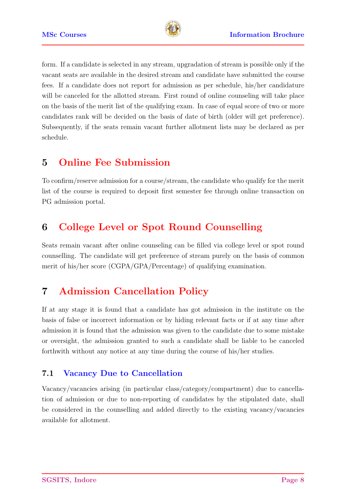

form. If a candidate is selected in any stream, upgradation of stream is possible only if the vacant seats are available in the desired stream and candidate have submitted the course fees. If a candidate does not report for admission as per schedule, his/her candidature will be canceled for the allotted stream. First round of online counseling will take place on the basis of the merit list of the qualifying exam. In case of equal score of two or more candidates rank will be decided on the basis of date of birth (older will get preference). Subsequently, if the seats remain vacant further allotment lists may be declared as per schedule.

## <span id="page-7-0"></span>5 Online Fee Submission

To confirm/reserve admission for a course/stream, the candidate who qualify for the merit list of the course is required to deposit first semester fee through online transaction on PG admission portal.

## <span id="page-7-1"></span>6 College Level or Spot Round Counselling

Seats remain vacant after online counseling can be filled via college level or spot round counselling. The candidate will get preference of stream purely on the basis of common merit of his/her score (CGPA/GPA/Percentage) of qualifying examination.

## <span id="page-7-2"></span>7 Admission Cancellation Policy

If at any stage it is found that a candidate has got admission in the institute on the basis of false or incorrect information or by hiding relevant facts or if at any time after admission it is found that the admission was given to the candidate due to some mistake or oversight, the admission granted to such a candidate shall be liable to be canceled forthwith without any notice at any time during the course of his/her studies.

#### <span id="page-7-3"></span>7.1 Vacancy Due to Cancellation

Vacancy/vacancies arising (in particular class/category/compartment) due to cancellation of admission or due to non-reporting of candidates by the stipulated date, shall be considered in the counselling and added directly to the existing vacancy/vacancies available for allotment.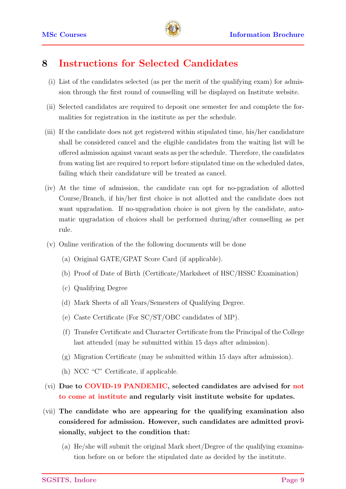

## <span id="page-8-0"></span>8 Instructions for Selected Candidates

- (i) List of the candidates selected (as per the merit of the qualifying exam) for admission through the first round of counselling will be displayed on Institute website.
- (ii) Selected candidates are required to deposit one semester fee and complete the formalities for registration in the institute as per the schedule.
- (iii) If the candidate does not get registered within stipulated time, his/her candidature shall be considered cancel and the eligible candidates from the waiting list will be offered admission against vacant seats as per the schedule. Therefore, the candidates from wating list are required to report before stipulated time on the scheduled dates, failing which their candidature will be treated as cancel.
- (iv) At the time of admission, the candidate can opt for no-pgradation of allotted Course/Branch, if his/her first choice is not allotted and the candidate does not want upgradation. If no-upgradation choice is not given by the candidate, automatic upgradation of choices shall be performed during/after counselling as per rule.
- (v) Online verification of the the following documents will be done
	- (a) Original GATE/GPAT Score Card (if applicable).
	- (b) Proof of Date of Birth (Certificate/Marksheet of HSC/HSSC Examination)
	- (c) Qualifying Degree
	- (d) Mark Sheets of all Years/Semesters of Qualifying Degree.
	- (e) Caste Certificate (For SC/ST/OBC candidates of MP).
	- (f) Transfer Certificate and Character Certificate from the Principal of the College last attended (may be submitted within 15 days after admission).
	- (g) Migration Certificate (may be submitted within 15 days after admission).
	- (h) NCC "C" Certificate, if applicable.
- (vi) Due to COVID-19 PANDEMIC, selected candidates are advised for not to come at institute and regularly visit institute website for updates.
- (vii) The candidate who are appearing for the qualifying examination also considered for admission. However, such candidates are admitted provisionally, subject to the condition that:
	- (a) He/she will submit the original Mark sheet/Degree of the qualifying examination before on or before the stipulated date as decided by the institute.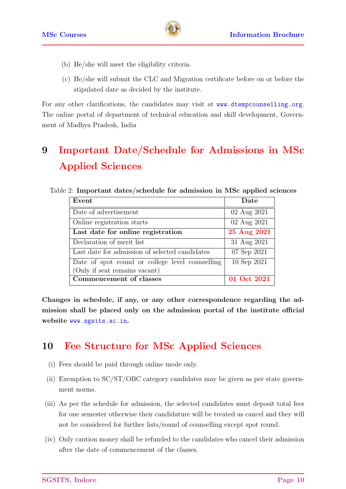

- (b) He/she will meet the eligibility criteria.
- (c) He/she will submit the CLC and Migration certificate before on or before the stipulated date as decided by the institute.

For any other clarifications, the candidates may visit at <www.dtempcounselling.org>. The online portal of department of technical education and skill development, Government of Madhya Pradesh, India

# <span id="page-9-0"></span>9 Important Date/Schedule for Admissions in MSc Applied Sciences

Table 2: Important dates/schedule for admission in MSc applied sciences

| Event                                           | Date        |  |
|-------------------------------------------------|-------------|--|
| Date of advertisement                           | 02 Aug 2021 |  |
| Online registration starts                      | 02 Aug 2021 |  |
| Last date for online registration               | 25 Aug 2021 |  |
| Declaration of merit list                       | 31 Aug 2021 |  |
| Last date for admission of selected candidates  | 07 Sep 2021 |  |
| Date of spot round or college level counselling | 10 Sep 2021 |  |
| (Only if seat remains vacant)                   |             |  |
| Commencement of classes                         | 01 Oct 2021 |  |

Changes in schedule, if any, or any other correspondence regarding the admission shall be placed only on the admission portal of the institute official website <www.sgsits.ac.in>.

## <span id="page-9-1"></span>10 Fee Structure for MSc Applied Sciences

- (i) Fees should be paid through online mode only.
- (ii) Exemption to SC/ST/OBC category candidates may be given as per state government norms.
- (iii) As per the schedule for admission, the selected candidates must deposit total fees for one semester otherwise their candidature will be treated as cancel and they will not be considered for further lists/round of counselling except spot round.
- (iv) Only caution money shall be refunded to the candidates who cancel their admission after the date of commencement of the classes.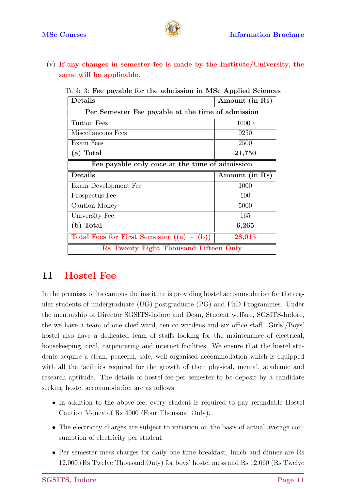



(v) If any changes in semester fee is made by the Institute/University, the same will be applicable.

| Details                                           | Amount (in Rs) |  |  |  |
|---------------------------------------------------|----------------|--|--|--|
| Per Semester Fee payable at the time of admission |                |  |  |  |
| Tuition Fees                                      | 10000          |  |  |  |
| Miscellaneous Fees                                | 9250           |  |  |  |
| Exam Fees                                         | 2500           |  |  |  |
| (a) Total                                         | 21,750         |  |  |  |
| Fee payable only once at the time of admission    |                |  |  |  |
| Details                                           | Amount (in Rs) |  |  |  |
| Exam Development Fee                              | 1000           |  |  |  |
| Prospectus Fee                                    | 100            |  |  |  |
| Caution Money                                     | 5000           |  |  |  |
| University Fee                                    | 165            |  |  |  |
| (b) Total                                         | 6,265          |  |  |  |
| Total Fees for First Semester $((a) + (b))$       | 28,015         |  |  |  |
| Rs Twenty Eight Thousand Fifteen Only             |                |  |  |  |

Table 3: Fee payable for the admission in MSc Applied Sciences

### <span id="page-10-0"></span>11 Hostel Fee

In the premises of its campus the institute is providing hostel accommodation for the regular students of undergraduate (UG) postgraduate (PG) and PhD Programmes. Under the mentorship of Director SGSITS-Indore and Dean, Student welfare, SGSITS-Indore, the we have a team of one chief ward, ten co-wardens and six office staff. Girls'/Boys' hostel also have a dedicated team of staffs looking for the maintenance of electrical, housekeeping, civil, carpentering and internet facilities. We ensure that the hostel students acquire a clean, peaceful, safe, well organised accommodation which is equipped with all the facilities required for the growth of their physical, mental, academic and research aptitude. The details of hostel fee per semester to be deposit by a candidate seeking hostel accommodation are as follows.

- In addition to the above fee, every student is required to pay refundable Hostel Caution Money of Rs 4000 (Four Thousand Only).
- The electricity charges are subject to variation on the basis of actual average consumption of electricity per student.
- Per semester mess charges for daily one time breakfast, lunch and dinner are Rs 12,000 (Rs Twelve Thousand Only) for boys' hostel mess and Rs 12,060 (Rs Twelve